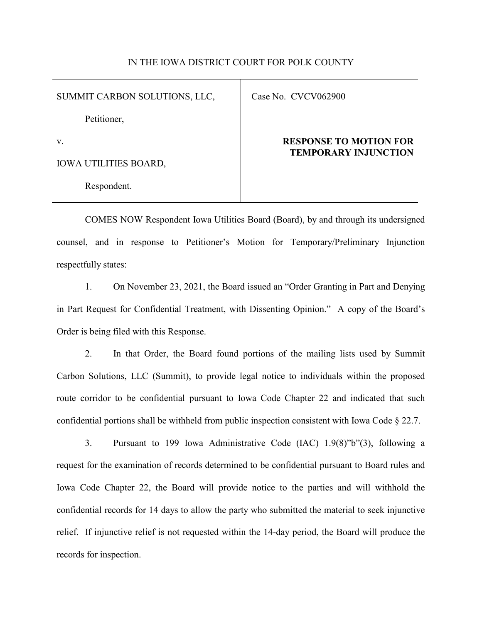## IN THE IOWA DISTRICT COURT FOR POLK COUNTY

SUMMIT CARBON SOLUTIONS, LLC,

Case No. CVCV062900

Petitioner,

v.

IOWA UTILITIES BOARD,

Respondent.

## **RESPONSE TO MOTION FOR TEMPORARY INJUNCTION**

COMES NOW Respondent Iowa Utilities Board (Board), by and through its undersigned counsel, and in response to Petitioner's Motion for Temporary/Preliminary Injunction respectfully states:

1. On November 23, 2021, the Board issued an "Order Granting in Part and Denying in Part Request for Confidential Treatment, with Dissenting Opinion." A copy of the Board's Order is being filed with this Response.

2. In that Order, the Board found portions of the mailing lists used by Summit Carbon Solutions, LLC (Summit), to provide legal notice to individuals within the proposed route corridor to be confidential pursuant to Iowa Code Chapter 22 and indicated that such confidential portions shall be withheld from public inspection consistent with Iowa Code § 22.7.

3. Pursuant to 199 Iowa Administrative Code (IAC) 1.9(8)"b"(3), following a request for the examination of records determined to be confidential pursuant to Board rules and Iowa Code Chapter 22, the Board will provide notice to the parties and will withhold the confidential records for 14 days to allow the party who submitted the material to seek injunctive relief. If injunctive relief is not requested within the 14-day period, the Board will produce the records for inspection.